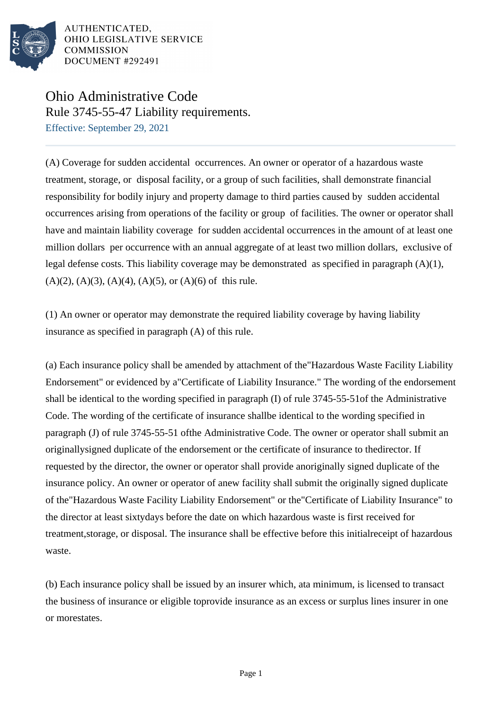

# Ohio Administrative Code Rule 3745-55-47 Liability requirements.

Effective: September 29, 2021

(A) Coverage for sudden accidental occurrences. An owner or operator of a hazardous waste treatment, storage, or disposal facility, or a group of such facilities, shall demonstrate financial responsibility for bodily injury and property damage to third parties caused by sudden accidental occurrences arising from operations of the facility or group of facilities. The owner or operator shall have and maintain liability coverage for sudden accidental occurrences in the amount of at least one million dollars per occurrence with an annual aggregate of at least two million dollars, exclusive of legal defense costs. This liability coverage may be demonstrated as specified in paragraph (A)(1),  $(A)(2)$ ,  $(A)(3)$ ,  $(A)(4)$ ,  $(A)(5)$ , or  $(A)(6)$  of this rule.

 $(1)$  An owner or operator may demonstrate the required liability coverage by having liability insurance as specified in paragraph  $(A)$  of this rule.

(a) Each insurance policy shall be amended by attachment of the "Hazardous Waste Facility Liability Endorsement" or evidenced by a "Certificate of Liability Insurance." The wording of the endorsement shall be identical to the wording specified in paragraph (I) of rule 3745-55-51 of the Administrative Code. The wording of the certificate of insurance shall be identical to the wording specified in paragraph (J) of rule  $3745-55-51$  of the Administrative Code. The owner or operator shall submit an originally signed duplicate of the endorsement or the certificate of insurance to the director. If requested by the director, the owner or operator shall provide an originally signed duplicate of the insurance policy. An owner or operator of a new facility shall submit the originally signed duplicate of the "Hazardous Waste Facility Liability Endorsement" or the "Certificate of Liability Insurance" to the director at least sixty days before the date on which hazardous waste is first received for treatment, storage, or disposal. The insurance shall be effective before this initial receipt of hazardous waste.

(b) Each insurance policy shall be issued by an insurer which, at a minimum, is licensed to transact the business of insurance or eligible to provide insurance as an excess or surplus lines insurer in one or more states.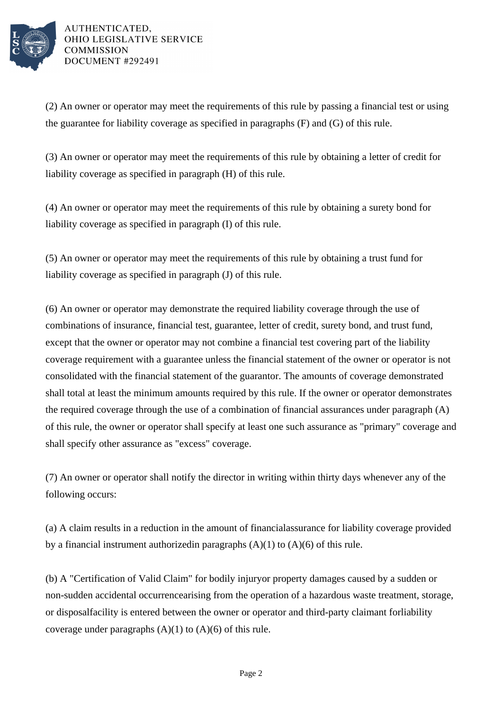

(2) An owner or operator may meet the requirements of this rule by passing a financial test or using the guarantee for liability coverage as specified in paragraphs  $(F)$  and  $(G)$  of this rule.

(3) An owner or operator may meet the requirements of this rule by obtaining a letter of credit for liability coverage as specified in paragraph (H) of this rule.

(4) An owner or operator may meet the requirements of this rule by obtaining a surety bond for liability coverage as specified in paragraph (I) of this rule.

(5) An owner or operator may meet the requirements of this rule by obtaining a trust fund for liability coverage as specified in paragraph (J) of this rule.

(6) An owner or operator may demonstrate the required liability coverage through the use of combinations of insurance, financial test, guarantee, letter of credit, surety bond, and trust fund, except that the owner or operator may not combine a financial test covering part of the liability coverage requirement with a guarantee unless the financial statement of the owner or operator is not consolidated with the financial statement of the guarantor. The amounts of coverage demonstrated shall total at least the minimum amounts required by this rule. If the owner or operator demonstrates the required coverage through the use of a combination of financial assurances under paragraph  $(A)$ of this rule, the owner or operator shall specify at least one such assurance as "primary" coverage and shall specify other assurance as "excess" coverage.

(7) An owner or operator shall notify the director in writing within thirty days whenever any of the following occurs:

(a) A claim results in a reduction in the amount of financial assurance for liability coverage provided by a financial instrument authorized in paragraphs  $(A)(1)$  to  $(A)(6)$  of this rule.

(b) A "Certification of Valid Claim" for bodily injury or property damages caused by a sudden or non-sudden accidental occurrence arising from the operation of a hazardous waste treatment, storage, or disposal facility is entered between the owner or operator and third-party claimant for liability coverage under paragraphs  $(A)(1)$  to  $(A)(6)$  of this rule.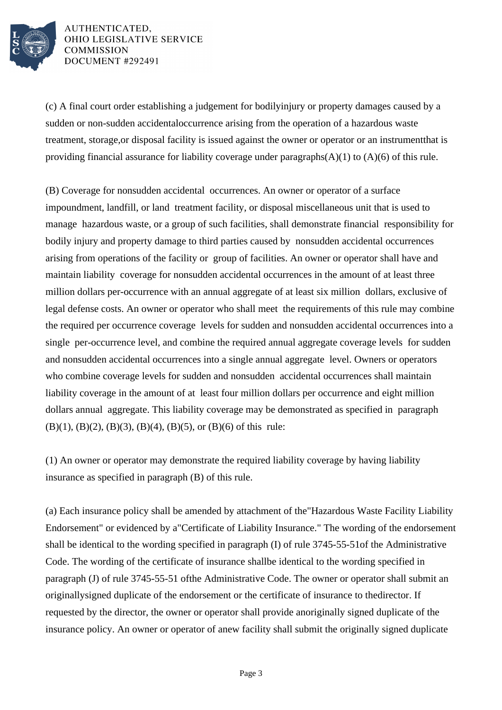

(c) A final court order establishing a judgement for bodily injury or property damages caused by a sudden or non-sudden accidental occurrence arising from the operation of a hazardous waste treatment, storage, or disposal facility is issued against the owner or operator or an instrument that is providing financial assurance for liability coverage under paragraphs  $(A)(1)$  to  $(A)(6)$  of this rule.

(B) Coverage for nonsudden accidental occurrences. An owner or operator of a surface impoundment, landfill, or land treatment facility, or disposal miscellaneous unit that is used to manage hazardous waste, or a group of such facilities, shall demonstrate financial responsibility for bodily injury and property damage to third parties caused by nonsudden accidental occurrences arising from operations of the facility or group of facilities. An owner or operator shall have and maintain liability coverage for nonsudden accidental occurrences in the amount of at least three million dollars per-occurrence with an annual aggregate of at least six million dollars, exclusive of legal defense costs. An owner or operator who shall meet the requirements of this rule may combine the required per occurrence coverage levels for sudden and nonsudden accidental occurrences into a single per-occurrence level, and combine the required annual aggregate coverage levels for sudden and nonsudden accidental occurrences into a single annual aggregate level. Owners or operators who combine coverage levels for sudden and nonsudden accidental occurrences shall maintain liability coverage in the amount of at least four million dollars per occurrence and eight million dollars annual aggregate. This liability coverage may be demonstrated as specified in paragraph (B)(1), (B)(2), (B)(3), (B)(4), (B)(5), or (B)(6) of this rule:

(1) An owner or operator may demonstrate the required liability coverage by having liability insurance as specified in paragraph (B) of this rule.

(a) Each insurance policy shall be amended by attachment of the "Hazardous Waste Facility Liability Endorsement" or evidenced by a "Certificate of Liability Insurance." The wording of the endorsement shall be identical to the wording specified in paragraph (I) of rule 3745-55-51 of the Administrative Code. The wording of the certificate of insurance shall be identical to the wording specified in paragraph (J) of rule 3745-55-51 of the Administrative Code. The owner or operator shall submit an originally signed duplicate of the endorsement or the certificate of insurance to the director. If requested by the director, the owner or operator shall provide an originally signed duplicate of the insurance policy. An owner or operator of a new facility shall submit the originally signed duplicate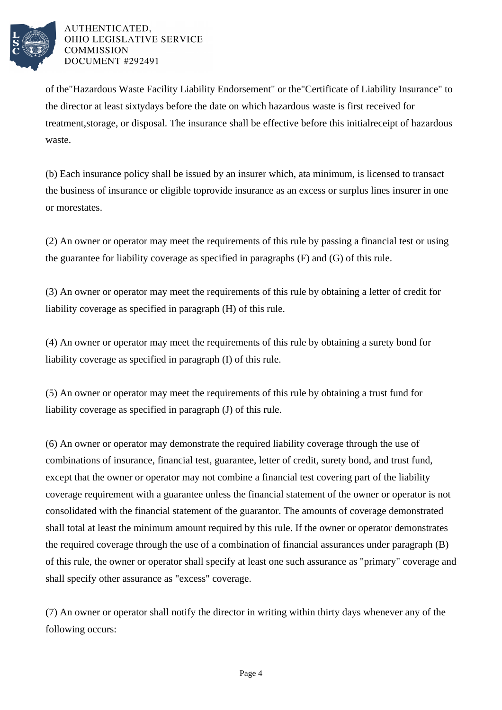

of the "Hazardous Waste Facility Liability Endorsement" or the "Certificate of Liability Insurance" to the director at least sixty days before the date on which hazardous waste is first received for treatment, storage, or disposal. The insurance shall be effective before this initial receipt of hazardous waste.

(b) Each insurance policy shall be issued by an insurer which, at a minimum, is licensed to transact the business of insurance or eligible to provide insurance as an excess or surplus lines insurer in one or more states.

(2) An owner or operator may meet the requirements of this rule by passing a financial test or using the guarantee for liability coverage as specified in paragraphs  $(F)$  and  $(G)$  of this rule.

(3) An owner or operator may meet the requirements of this rule by obtaining a letter of credit for liability coverage as specified in paragraph (H) of this rule.

(4) An owner or operator may meet the requirements of this rule by obtaining a surety bond for liability coverage as specified in paragraph (I) of this rule.

(5) An owner or operator may meet the requirements of this rule by obtaining a trust fund for liability coverage as specified in paragraph (J) of this rule.

(6) An owner or operator may demonstrate the required liability coverage through the use of combinations of insurance, financial test, guarantee, letter of credit, surety bond, and trust fund, except that the owner or operator may not combine a financial test covering part of the liability coverage requirement with a guarantee unless the financial statement of the owner or operator is not consolidated with the financial statement of the guarantor. The amounts of coverage demonstrated shall total at least the minimum amount required by this rule. If the owner or operator demonstrates the required coverage through the use of a combination of financial assurances under paragraph  $(B)$ of this rule, the owner or operator shall specify at least one such assurance as "primary" coverage and shall specify other assurance as "excess" coverage.

(7) An owner or operator shall notify the director in writing within thirty days whenever any of the following occurs: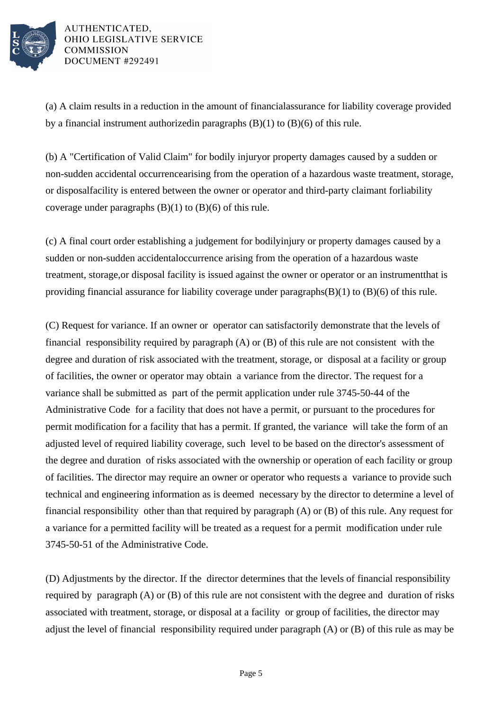

(a) A claim results in a reduction in the amount of financial assurance for liability coverage provided by a financial instrument authorized in paragraphs  $(B)(1)$  to  $(B)(6)$  of this rule.

(b) A "Certification of Valid Claim" for bodily injury or property damages caused by a sudden or non-sudden accidental occurrence arising from the operation of a hazardous waste treatment, storage, or disposal facility is entered between the owner or operator and third-party claimant for liability coverage under paragraphs  $(B)(1)$  to  $(B)(6)$  of this rule.

(c) A final court order establishing a judgement for bodily injury or property damages caused by a sudden or non-sudden accidental occurrence arising from the operation of a hazardous waste treatment, storage, or disposal facility is issued against the owner or operator or an instrument that is providing financial assurance for liability coverage under paragraphs  $(B)(1)$  to  $(B)(6)$  of this rule.

(C) Request for variance. If an owner or operator can satisfactorily demonstrate that the levels of financial responsibility required by paragraph (A) or (B) of this rule are not consistent with the degree and duration of risk associated with the treatment, storage, or disposal at a facility or group of facilities, the owner or operator may obtain a variance from the director. The request for a variance shall be submitted as part of the permit application under rule 3745-50-44 of the Administrative Code for a facility that does not have a permit, or pursuant to the procedures for permit modification for a facility that has a permit. If granted, the variance will take the form of an adjusted level of required liability coverage, such level to be based on the director's assessment of the degree and duration of risks associated with the ownership or operation of each facility or group of facilities. The director may require an owner or operator who requests a variance to provide such technical and engineering information as is deemed necessary by the director to determine a level of financial responsibility other than that required by paragraph (A) or (B) of this rule. Any request for a variance for a permitted facility will be treated as a request for a permit modification under rule 3745-50-51 of the Administrative Code.

(D) Adjustments by the director. If the director determines that the levels of financial responsibility required by paragraph (A) or (B) of this rule are not consistent with the degree and duration of risks associated with treatment, storage, or disposal at a facility or group of facilities, the director may adjust the level of financial responsibility required under paragraph (A) or (B) of this rule as may be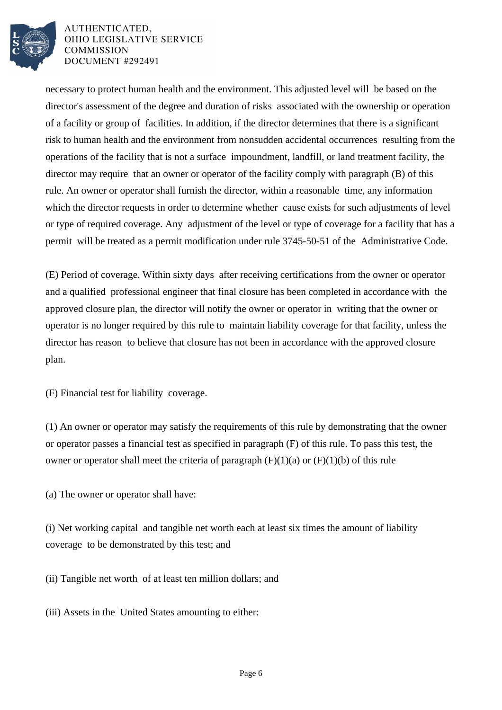

necessary to protect human health and the environment. This adjusted level will be based on the director's assessment of the degree and duration of risks associated with the ownership or operation of a facility or group of facilities. In addition, if the director determines that there is a significant risk to human health and the environment from nonsudden accidental occurrences resulting from the operations of the facility that is not a surface impoundment, landfill, or land treatment facility, the director may require that an owner or operator of the facility comply with paragraph (B) of this rule. An owner or operator shall furnish the director, within a reasonable time, any information which the director requests in order to determine whether cause exists for such adjustments of level or type of required coverage. Any adjustment of the level or type of coverage for a facility that has a permit will be treated as a permit modification under rule 3745-50-51 of the Administrative Code.

(E) Period of coverage. Within sixty days after receiving certifications from the owner or operator and a qualified professional engineer that final closure has been completed in accordance with the approved closure plan, the director will notify the owner or operator in writing that the owner or operator is no longer required by this rule to maintain liability coverage for that facility, unless the director has reason to believe that closure has not been in accordance with the approved closure plan.

(F) Financial test for liability coverage.

(1) An owner or operator may satisfy the requirements of this rule by demonstrating that the owner or operator passes a financial test as specified in paragraph  $(F)$  of this rule. To pass this test, the owner or operator shall meet the criteria of paragraph  $(F)(1)(a)$  or  $(F)(1)(b)$  of this rule

(a) The owner or operator shall have:

(i) Net working capital and tangible net worth each at least six times the amount of liability coverage to be demonstrated by this test; and

(ii) Tangible net worth of at least ten million dollars; and

(iii) Assets in the United States amounting to either: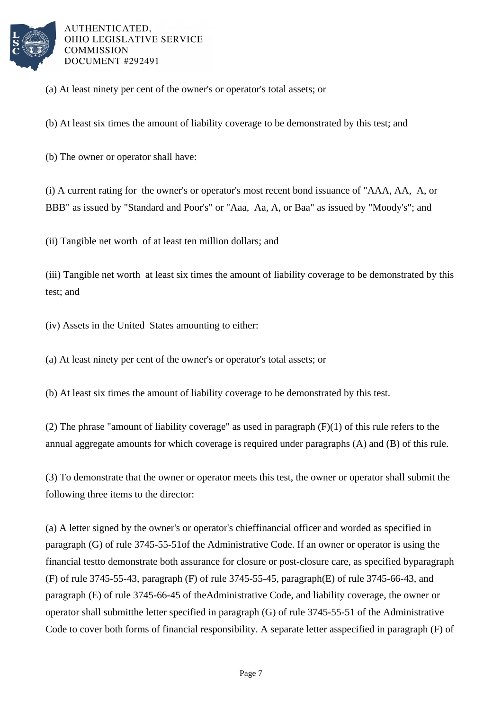

(a) At least ninety per cent of the owner's or operator's total assets; or

(b) At least six times the amount of liability coverage to be demonstrated by this test; and

(b) The owner or operator shall have:

(i) A current rating for the owner's or operator's most recent bond issuance of "AAA, AA, A, or BBB" as issued by "Standard and Poor's" or "Aaa, Aa, A, or Baa" as issued by "Moody's"; and

(ii) Tangible net worth of at least ten million dollars; and

(iii) Tangible net worth at least six times the amount of liability coverage to be demonstrated by this test; and

(iv) Assets in the United States amounting to either:

(a) At least ninety per cent of the owner's or operator's total assets; or

(b) At least six times the amount of liability coverage to be demonstrated by this test.

(2) The phrase "amount of liability coverage" as used in paragraph  $(F)(1)$  of this rule refers to the annual aggregate amounts for which coverage is required under paragraphs (A) and (B) of this rule.

(3) To demonstrate that the owner or operator meets this test, the owner or operator shall submit the following three items to the director:

(a) A letter signed by the owner's or operator's chief financial officer and worded as specified in paragraph (G) of rule 3745-55-51 of the Administrative Code. If an owner or operator is using the financial test to demonstrate both assurance for closure or post-closure care, as specified by paragraph (F) of rule 3745-55-43, paragraph (F) of rule 3745-55-45, paragraph  $(E)$  of rule 3745-66-43, and paragraph (E) of rule 3745-66-45 of the Administrative Code, and liability coverage, the owner or operator shall submit the letter specified in paragraph  $(G)$  of rule 3745-55-51 of the Administrative Code to cover both forms of financial responsibility. A separate letter as specified in paragraph  $(F)$  of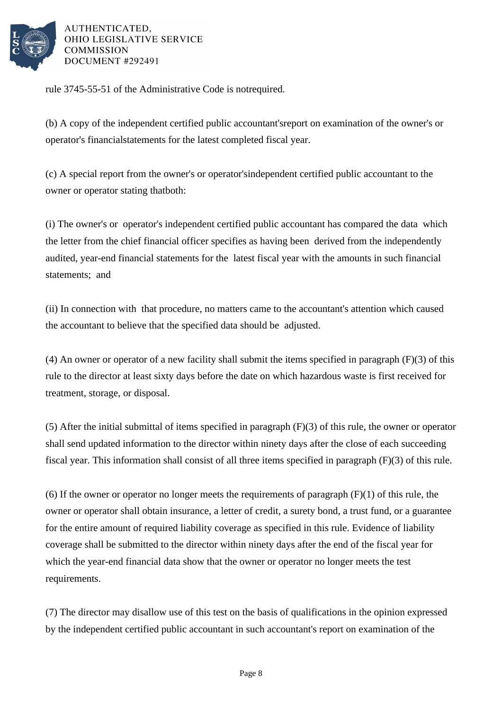

rule 3745-55-51 of the Administrative Code is not required.

(b) A copy of the independent certified public accountant's report on examination of the owner's or operator's financial statements for the latest completed fiscal year.

(c) A special report from the owner's or operator's independent certified public accountant to the owner or operator stating that both:

(i) The owner's or operator's independent certified public accountant has compared the data which the letter from the chief financial officer specifies as having been derived from the independently audited, year-end financial statements for the latest fiscal year with the amounts in such financial statements; and

(ii) In connection with that procedure, no matters came to the accountant's attention which caused the accountant to believe that the specified data should be adjusted.

(4) An owner or operator of a new facility shall submit the items specified in paragraph  $(F)(3)$  of this rule to the director at least sixty days before the date on which hazardous waste is first received for treatment, storage, or disposal.

(5) After the initial submittal of items specified in paragraph  $(F)(3)$  of this rule, the owner or operator shall send updated information to the director within ninety days after the close of each succeeding fiscal year. This information shall consist of all three items specified in paragraph  $(F)(3)$  of this rule.

(6) If the owner or operator no longer meets the requirements of paragraph  $(F)(1)$  of this rule, the owner or operator shall obtain insurance, a letter of credit, a surety bond, a trust fund, or a guarantee for the entire amount of required liability coverage as specified in this rule. Evidence of liability coverage shall be submitted to the director within ninety days after the end of the fiscal year for which the year-end financial data show that the owner or operator no longer meets the test requirements.

(7) The director may disallow use of this test on the basis of qualifications in the opinion expressed by the independent certified public accountant in such accountant's report on examination of the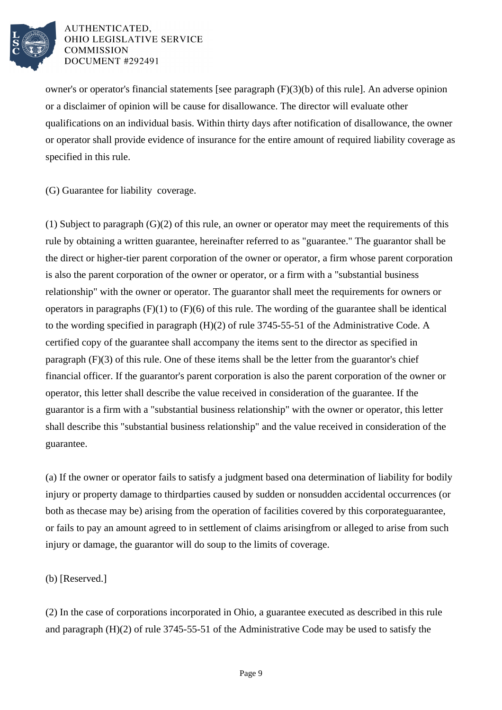

owner's or operator's financial statements [see paragraph  $(F)(3)(b)$  of this rule]. An adverse opinion or a disclaimer of opinion will be cause for disallowance. The director will evaluate other qualifications on an individual basis. Within thirty days after notification of disallowance, the owner or operator shall provide evidence of insurance for the entire amount of required liability coverage as specified in this rule.

(G) Guarantee for liability coverage.

(1) Subject to paragraph  $(G)(2)$  of this rule, an owner or operator may meet the requirements of this rule by obtaining a written guarantee, hereinafter referred to as "guarantee." The guarantor shall be the direct or higher-tier parent corporation of the owner or operator, a firm whose parent corporation is also the parent corporation of the owner or operator, or a firm with a "substantial business" relationship" with the owner or operator. The guarantor shall meet the requirements for owners or operators in paragraphs  $(F)(1)$  to  $(F)(6)$  of this rule. The wording of the guarantee shall be identical to the wording specified in paragraph  $(H)(2)$  of rule 3745-55-51 of the Administrative Code. A certified copy of the guarantee shall accompany the items sent to the director as specified in paragraph  $(F)(3)$  of this rule. One of these items shall be the letter from the guarantor's chief financial officer. If the guarantor's parent corporation is also the parent corporation of the owner or operator, this letter shall describe the value received in consideration of the guarantee. If the guarantor is a firm with a "substantial business relationship" with the owner or operator, this letter shall describe this "substantial business relationship" and the value received in consideration of the guarantee.

(a) If the owner or operator fails to satisfy a judgment based on a determination of liability for bodily injury or property damage to third parties caused by sudden or nonsudden accidental occurrences (or both as the case may be) arising from the operation of facilities covered by this corporate guarantee, or fails to pay an amount agreed to in settlement of claims arising from or alleged to arise from such injury or damage, the guarantor will do so up to the limits of coverage.

(b) [Reserved.]

(2) In the case of corporations incorporated in Ohio, a guarantee executed as described in this rule and paragraph  $(H)(2)$  of rule 3745-55-51 of the Administrative Code may be used to satisfy the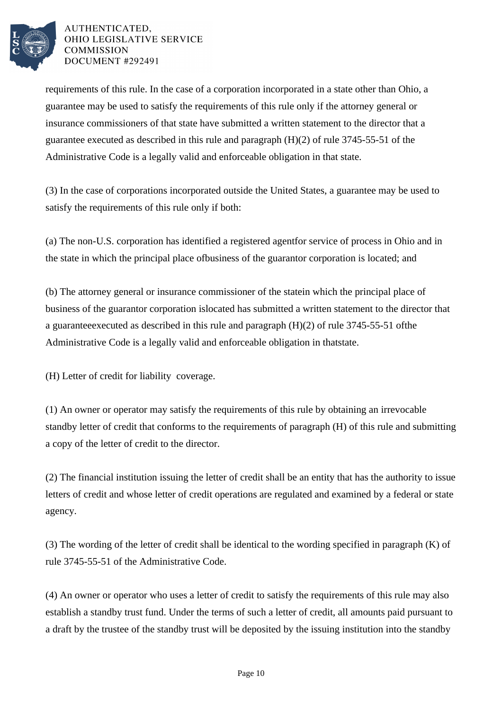

requirements of this rule. In the case of a corporation incorporated in a state other than Ohio, a guarantee may be used to satisfy the requirements of this rule only if the attorney general or insurance commissioners of that state have submitted a written statement to the director that a guarantee executed as described in this rule and paragraph  $(H)(2)$  of rule 3745-55-51 of the Administrative Code is a legally valid and enforceable obligation in that state.

(3) In the case of corporations incorporated outside the United States, a guarantee may be used to satisfy the requirements of this rule only if both:

(a) The non-U.S. corporation has identified a registered agent for service of process in Ohio and in the state in which the principal place of business of the guarantor corporation is located; and

(b) The attorney general or insurance commissioner of the state in which the principal place of business of the guarantor corporation is located has submitted a written statement to the director that a guarantee executed as described in this rule and paragraph  $(H)(2)$  of rule 3745-55-51 of the Administrative Code is a legally valid and enforceable obligation in that state.

(H) Letter of credit for liability coverage.

(1) An owner or operator may satisfy the requirements of this rule by obtaining an irrevocable standby letter of credit that conforms to the requirements of paragraph (H) of this rule and submitting a copy of the letter of credit to the director.

(2) The financial institution issuing the letter of credit shall be an entity that has the authority to issue letters of credit and whose letter of credit operations are regulated and examined by a federal or state agency.

(3) The wording of the letter of credit shall be identical to the wording specified in paragraph  $(K)$  of rule 3745-55-51 of the Administrative Code.

(4) An owner or operator who uses a letter of credit to satisfy the requirements of this rule may also establish a standby trust fund. Under the terms of such a letter of credit, all amounts paid pursuant to a draft by the trustee of the standby trust will be deposited by the issuing institution into the standby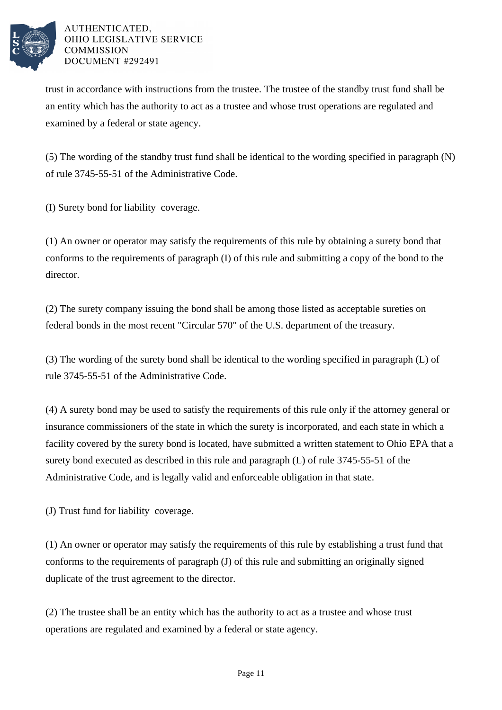

trust in accordance with instructions from the trustee. The trustee of the standby trust fund shall be an entity which has the authority to act as a trustee and whose trust operations are regulated and examined by a federal or state agency.

 $(5)$  The wording of the standby trust fund shall be identical to the wording specified in paragraph  $(N)$ of rule 3745-55-51 of the Administrative Code.

(I) Surety bond for liability coverage.

(1) An owner or operator may satisfy the requirements of this rule by obtaining a surety bond that conforms to the requirements of paragraph (I) of this rule and submitting a copy of the bond to the director.

(2) The surety company issuing the bond shall be among those listed as acceptable sureties on federal bonds in the most recent "Circular 570" of the U.S. department of the treasury.

(3) The wording of the surety bond shall be identical to the wording specified in paragraph (L) of rule 3745-55-51 of the Administrative Code.

(4) A surety bond may be used to satisfy the requirements of this rule only if the attorney general or insurance commissioners of the state in which the surety is incorporated, and each state in which a facility covered by the surety bond is located, have submitted a written statement to Ohio EPA that a surety bond executed as described in this rule and paragraph  $(L)$  of rule 3745-55-51 of the Administrative Code, and is legally valid and enforceable obligation in that state.

(J) Trust fund for liability coverage.

(1) An owner or operator may satisfy the requirements of this rule by establishing a trust fund that conforms to the requirements of paragraph (J) of this rule and submitting an originally signed duplicate of the trust agreement to the director.

(2) The trustee shall be an entity which has the authority to act as a trustee and whose trust operations are regulated and examined by a federal or state agency.